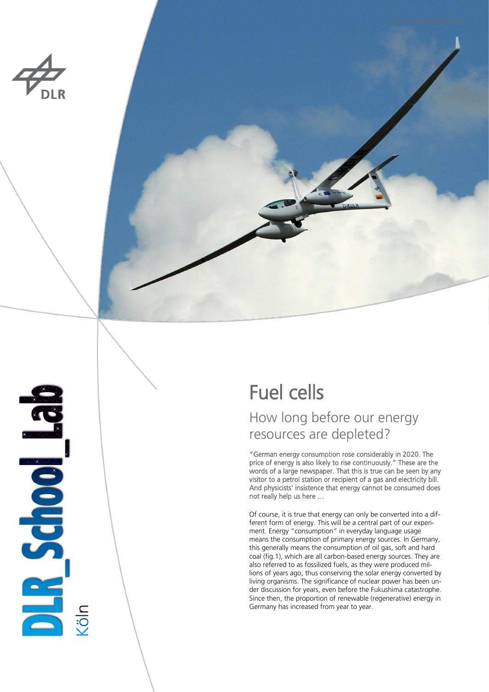



# **Lioche School**  $\frac{1}{10}$

# Fuel cells

# How long before our energy resources are depleted?

"German energy consumption rose considerably in 2020. The price of energy is also likely to rise continuously." These are the words of a large newspaper. That this is true can be seen by any visitor to a petrol station or recipient of a gas and electricity bill. And physicists' insistence that energy cannot be consumed does not really help us here …

Of course, it is true that energy can only be converted into a different form of energy. This will be a central part of our experiment. Energy "consumption" in everyday language usage means the consumption of primary energy sources. In Germany, this generally means the consumption of oil gas, soft and hard coal (fig.1), which are all carbon-based energy sources. They are also referred to as fossilized fuels, as they were produced millions of years ago, thus conserving the solar energy converted by living organisms. The significance of nuclear power has been under discussion for years, even before the Fukushima catastrophe. Since then, the proportion of renewable (regenerative) energy in Germany has increased from year to year.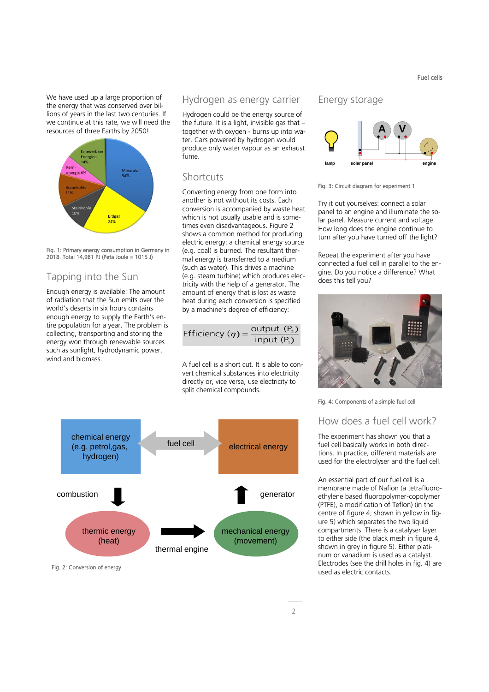We have used up a large proportion of the energy that was conserved over billions of years in the last two centuries. If we continue at this rate, we will need the resources of three Earths by 2050!



Fig. 1: Primary energy consumption in Germany in 2018. Total 14,981 PJ (Peta Joule = 1015 J)

### Tapping into the Sun

Enough energy is available: The amount of radiation that the Sun emits over the world's deserts in six hours contains enough energy to supply the Earth's entire population for a year. The problem is collecting, transporting and storing the energy won through renewable sources such as sunlight, hydrodynamic power, wind and biomass.

### Hydrogen as energy carrier

Hydrogen could be the energy source of the future. It is a light, invisible gas that  $$ together with oxygen - burns up into water. Cars powered by hydrogen would produce only water vapour as an exhaust fume.

### **Shortcuts**

Converting energy from one form into another is not without its costs. Each conversion is accompanied by waste heat which is not usually usable and is sometimes even disadvantageous. Figure 2 shows a common method for producing electric energy: a chemical energy source (e.g. coal) is burned. The resultant thermal energy is transferred to a medium (such as water). This drives a machine (e.g. steam turbine) which produces electricity with the help of a generator. The amount of energy that is lost as waste heat during each conversion is specified by a machine's degree of efficiency:

Efficiency (
$$
\eta
$$
) =  $\frac{\text{output}(P_2)}{\text{input}(P_1)}$ 

A fuel cell is a short cut. It is able to convert chemical substances into electricity directly or, vice versa, use electricity to split chemical compounds.



### Energy storage



### Fig. 3: Circuit diagram for experiment 1

Try it out yourselves: connect a solar panel to an engine and illuminate the solar panel. Measure current and voltage. How long does the engine continue to turn after you have turned off the light?

Repeat the experiment after you have connected a fuel cell in parallel to the engine. Do you notice a difference? What does this tell you?



Fig. 4: Components of a simple fuel cell

### How does a fuel cell work?

The experiment has shown you that a fuel cell basically works in both directions. In practice, different materials are used for the electrolyser and the fuel cell.

An essential part of our fuel cell is a membrane made of Nafion (a tetrafluoroethylene based fluoropolymer-copolymer (PTFE), a modification of Teflon) (in the centre of figure 4; shown in yellow in figure 5) which separates the two liquid compartments. There is a catalyser layer to either side (the black mesh in figure 4, shown in grey in figure 5). Either platinum or vanadium is used as a catalyst. Electrodes (see the drill holes in fig. 4) are Fig. 2: Conversion of energy energy and the contacts of the contacts of the contacts. Fig. 2: Conversion of energy  $\Box$ 

Fuel cells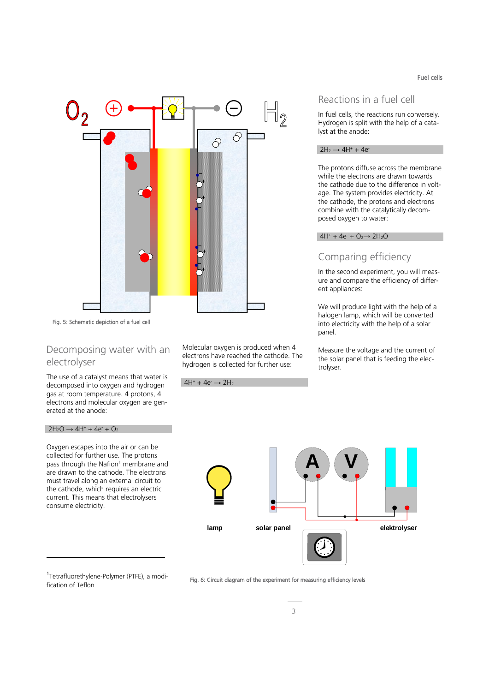])  $\vartheta$  $\theta$ 

Fig. 5: Schematic depiction of a fuel cell

### Decomposing water with an electrolyser

The use of a catalyst means that water is decomposed into oxygen and hydrogen gas at room temperature. 4 protons, 4 electrons and molecular oxygen are generated at the anode:

### $2H_2O \rightarrow 4H^+ + 4e^+ + O_2$

-

Oxygen escapes into the air or can be collected for further use. The protons pass through the Nafion<sup>1</sup> membrane and are drawn to the cathode. The electrons must travel along an external circuit to the cathode, which requires an electric current. This means that electrolysers consume electricity.

Molecular oxygen is produced when 4 electrons have reached the cathode. The hydrogen is collected for further use:

 $4H^+ + 4e^- \rightarrow 2H_2$ 

### Reactions in a fuel cell

In fuel cells, the reactions run conversely. Hydrogen is split with the help of a catalyst at the anode:

### $2H_2 \rightarrow 4H^+ + 4e^-$

The protons diffuse across the membrane while the electrons are drawn towards the cathode due to the difference in voltage. The system provides electricity. At the cathode, the protons and electrons combine with the catalytically decomposed oxygen to water:

 $4H^+ + 4e^- + 0_2 \rightarrow 2H_2O$ 

## Comparing efficiency

In the second experiment, you will measure and compare the efficiency of different appliances:

We will produce light with the help of a halogen lamp, which will be converted into electricity with the help of a solar panel.

Measure the voltage and the current of the solar panel that is feeding the electrolyser.



1 Tetrafluorethylene-Polymer (PTFE), a modification of Teflon

Fig. 6: Circuit diagram of the experiment for measuring efficiency levels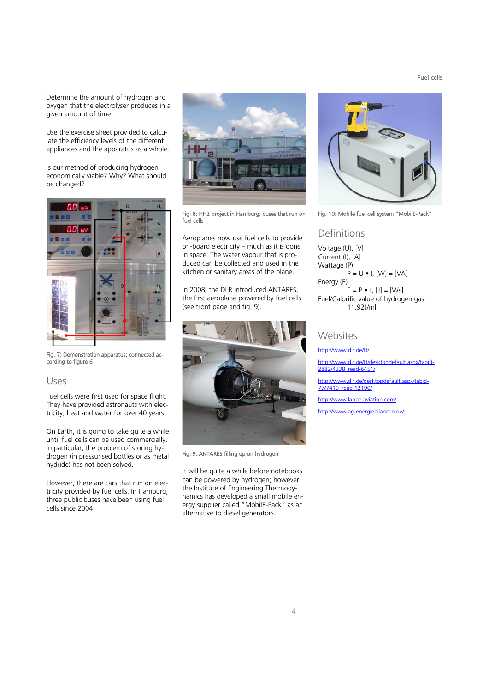Fuel cells

Determine the amount of hydrogen and oxygen that the electrolyser produces in a given amount of time.

Use the exercise sheet provided to calculate the efficiency levels of the different appliances and the apparatus as a whole.

Is our method of producing hydrogen economically viable? Why? What should be changed?



Fig. 7: Demonstration apparatus; connected according to figure 6

### Uses

Fuel cells were first used for space flight. They have provided astronauts with electricity, heat and water for over 40 years.

On Earth, it is going to take quite a while until fuel cells can be used commercially. In particular, the problem of storing hydrogen (in pressurised bottles or as metal hydride) has not been solved.

However, there are cars that run on electricity provided by fuel cells. In Hamburg, three public buses have been using fuel cells since 2004.



Fig. 8: HH2 project in Hamburg: buses that run on fuel cells

Aeroplanes now use fuel cells to provide on-board electricity – much as it is done in space. The water vapour that is produced can be collected and used in the kitchen or sanitary areas of the plane.

In 2008, the DLR introduced ANTARES, the first aeroplane powered by fuel cells (see front page and fig. 9).



Fig. 9: ANTARES filling up on hydrogen

It will be quite a while before notebooks can be powered by hydrogen; however the Institute of Engineering Thermodynamics has developed a small mobile energy supplier called "MobilE-Pack" as an alternative to diesel generators.



Fig. 10: Mobile fuel cell system "MobilE-Pack"

### Definitions

Voltage (U), [V] Current (I), [A] Wattage (P)  $P = U \bullet I$ ,  $[W] = [VA]$ Energy (E)  $E = P \cdot t$ ,  $[J] = [Ws]$ Fuel/Calorific value of hydrogen gas: 11,92J/ml

### **Websites**

<http://www.dlr.de/tt/> [http://www.dlr.de/tt/desktopdefault.aspx/tabid-](http://www.dlr.de/tt/desktopdefault.aspx/tabid-2882/4338_read-6451/)[2882/4338\\_read-6451/](http://www.dlr.de/tt/desktopdefault.aspx/tabid-2882/4338_read-6451/) [http://www.dlr.de/desktopdefault.aspx/tabid-](http://www.dlr.de/desktopdefault.aspx/tabid-77/7419_read-12190/)[77/7419\\_read-12190/](http://www.dlr.de/desktopdefault.aspx/tabid-77/7419_read-12190/)

<http://www.lange-aviation.com/>

<http://www.ag-energiebilanzen.de/>